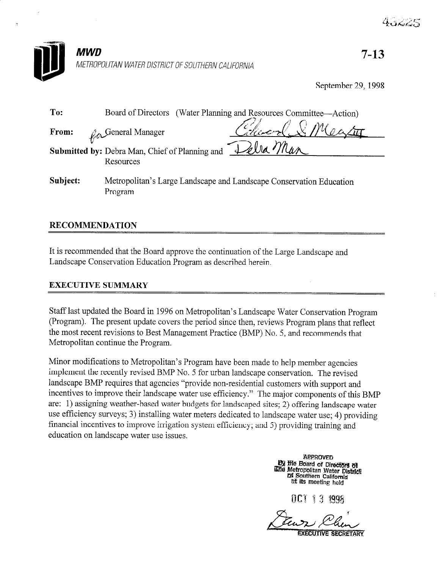

September 29, 1998

| To:      | (Water Planning and Resources Committee—Action)<br>Board of Directors          |
|----------|--------------------------------------------------------------------------------|
| From:    | Colocal & Maator<br>Coneral Manager                                            |
|          | Delra Man<br>Submitted by: Debra Man, Chief of Planning and<br>Resources       |
| Subject: | Metropolitan's Large Landscape and Landscape Conservation Education<br>Program |

# RECOMMENDATION

It is recommended that the Board approve the continuation of the Large Landscape and Landscape Conservation Education Program as described herein.

## EXECUTIVE SUMMARY

Staff last updated the Board in 1996 on Metropolitan's Landscape Water Conservation Program (Program). The present update covers the period since then, reviews Program plans that reflect the most recent revisions to Best Management Practice (BMP) No. 5, and recommends that Metropolitan continue the Program.

Minor modifications to Metropolitan's Program have been made to help member agencies implement the recently revised BMP No. 5 for urban landscape conservation. The revised landscape BMP requires that agencies "provide non-residential customers with support and incentives to improve their landscape water use efficiency." The major components of this BMP are: 1) assigning weather-based water budgets for landscaped sites; 2) offering landscape water use efficiency surveys; 3) installing water meters dedicated to landscape water use; 4) providing financial incentives to improve irrigation system efficiency; and 5) providing training and education on landscape water use issues.

> **APPROVED By the Board of Directors of** Le Board of Directors of<br>Line Metropolitan Water District<br>Dif Southern California

> > OCT 13 1998

Den: Executive secretary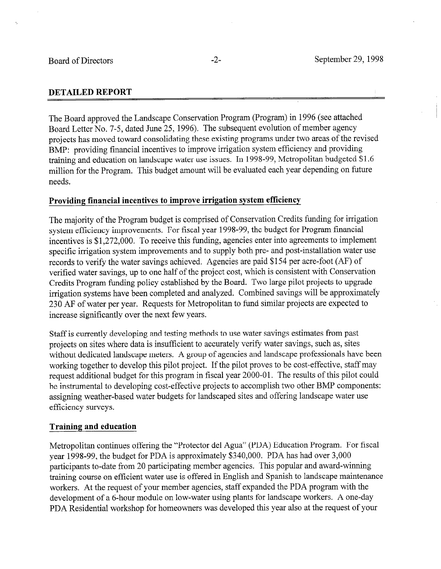#### DETAILED REPORT

The Board approved the Landscape Conservation Program (Program) in 1996 (see attached Board Letter No. 7-5, dated June 25, 1996). The subsequent evolution of member agency projects has moved toward consolidating these existing programs under two areas of the revised BMP: providing financial incentives to improve irrigation system efficiency and providing training and education on landscape water use issues. In 1998-99, Metropolitan budgeted \$1.6 million for the Program. This budget amount will be evaluated each year depending on future needs.

#### Providing financial incentives to improve irrigation system efficiency

The majority of the Program budget is comprised of Conservation Credits funding for irrigation system efficiency improvements. For fiscal year 1998-99, the budget for Program financial incentives is \$1,272,000. To receive this funding, agencies enter into agreements to implement specific irrigation system improvements and to supply both pre- and post-installation water use records to verify the water savings achieved. Agencies are paid \$154 per acre-foot (AF) of verified water savings, up to one half of the project cost, which is consistent with Conservation Credits Program funding policy established by the Board. Two large pilot projects to upgrade irrigation systems have been completed and analyzed. Combined savings will be approximately 230 AF of water per year. Requests for Metropolitan to fund similar projects are expected to increase significantly over the next few years.

Staff is currently developing and testing methods to use water savings estimates from past projects on sites where data is insufficient to accurately verify water savings, such as, sites without dedicated landscape meters. A group of agencies and landscape professionals have been working together to develop this pilot project. If the pilot proves to be cost-effective, staff may request additional budget for this program in fiscal year 2000-01. The results of this pilot could be instrumental to developing cost-effective projects to accomplish two other BMP components: assigning weather-based water budgets for landscaped sites and offering landscape water use efficiency surveys.

#### Training and education

Metropolitan continues offering the "Protector de1 Agua" (PDA) Education Program. For fiscal year 1998-99, the budget for PDA is approximately \$340,000. PDA has had over 3,000 participants to-date from 20 participating member agencies. This popular and award-winning training course on efficient water use is offered in English and Spanish to landscape maintenance workers. At the request of your member agencies, staff expanded the PDA program with the development of a 6-hour module on low-water using plants for landscape workers. A one-day PDA Residential workshop for homeowners was developed this year also at the request of your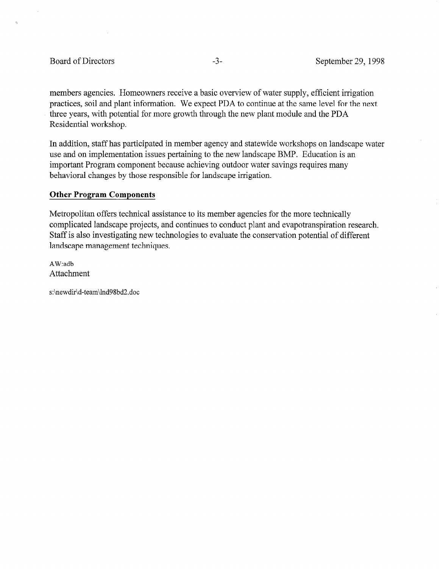#### Board of Directors -3- September 29, 1998

members agencies. Homeowners receive a basic overview of water supply, efficient irrigation practices, soil and plant information. We expect PDA to continue at the same level for the next three years, with potential for more growth through the new plant module and the PDA Residential workshop.

In addition, staff has participated in member agency and statewide workshops on landscape water use and on implementation issues pertaining to the new landscape BMP. Education is an important Program component because achieving outdoor water savings requires many behavioral changes by those responsible for landscape irrigation.

#### Other Program Components

Metropolitan offers technical assistance to its member agencies for the more technically complicated landscape projects, and continues to conduct plant and evapotranspiration research. Staff is also investigating new technologies to evaluate the conservation potential of different landscape management techniques.

AW:adb Attachment

s:\newdir\d-team\hd98bd2,doc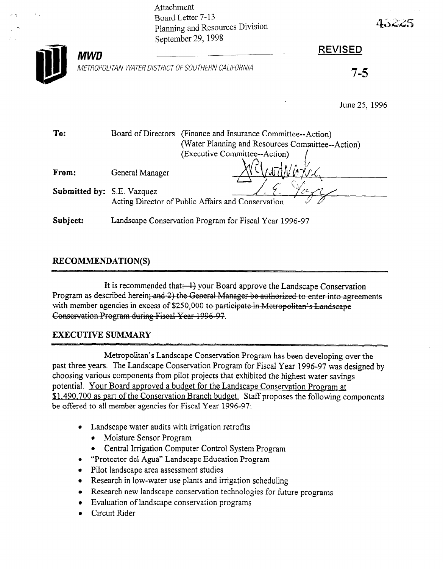Attachment Board Letter 7-13 Planning and Resources Division September 29, 1998

METROPOLITAN WATER DISTRICT OF SOUTHERN CALIFORNIA



 $MWD$ 

# REVISED

1-3

43225

June 25, 1996

| To:                               | (Finance and Insurance Committee--Action)<br>Board of Directors<br>(Water Planning and Resources Committee--Action)<br>(Executive Committee--Action) |
|-----------------------------------|------------------------------------------------------------------------------------------------------------------------------------------------------|
| From:                             | General Manager                                                                                                                                      |
| <b>Submitted by:</b> S.E. Vazquez | Acting Director of Public Affairs and Conservation                                                                                                   |
| Subject:                          | Landscape Conservation Program for Fiscal Year 1996-97                                                                                               |

# RECOMMENDATION(S)

It is recommended that  $\rightarrow$  your Board approve the Landscape Conservation Program as described herein; and 2) the General Manager be authorized to enter into agreements with member agencies in excess of \$250,000 to participate in Metropolitan's Landscape Conservation Program during Fiscal Year 1996-97.

# EXECUTIVE SUMMARY

Metropolitan's Landscape Conservation Program has been developing over the past three years. The Landscape Conservation Program for Fiscal Year 1996-97 was designed by choosing various components from pilot projects that exhibited the highest water savings potential. Your Board approved a budget for the Landscape Conservation Program at \$1,490,700 as part of the Conservation Branch budget. Staff proposes the following components be offered to all member agencies for Fiscal Year 1996-97:

- Landscape water audits with irrigation retrofits
	- Moisture Sensor Program
	- 0 Central Irrigation Computer Control System Program
- "Protector del Agua" Landscape Education Program
- **•** Pilot landscape area assessment studies
- Research in low-water use plants and irrigation scheduling
- Research new landscape conservation technologies for future programs
- Evaluation of landscape conservation programs
- Circuit Rider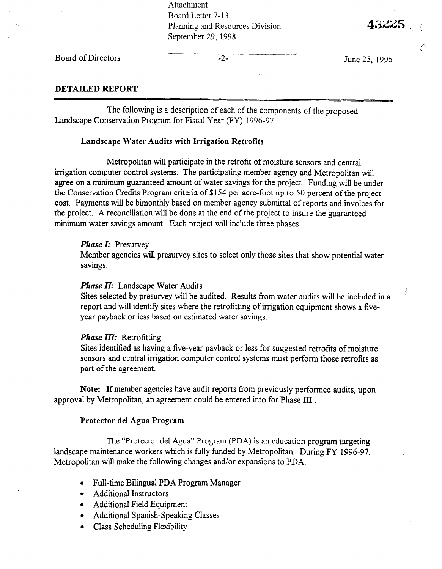Attachment Board Letter 7-13 Planning and Resources Division September 29, 1998

Board of Directors  $-2$ -

June 25, 1996

43225

#### DETAILED REPORT

The following is a description of each of the components of the proposed Landscape Conservation Program for Fiscal Year (FY) 1996-97.

#### Landscape Water Audits with Irrigation Retrofits

Metropolitan will participate in the retrofit of moisture sensors and central irrigation computer control systems. The participating member agency and Metropolitan will agree on a minimum guaranteed amount of water savings for the project. Funding will be under the Conservation Credits Program criteria of \$154 per acre-foot up to 50 percent of the project cost. Payments will be bimonthly based on member agency submittal of reports and invoices for the project. A reconciliation will be done at the end of the project to insure the guaranteed minimum water savings amount. Each project will include three phases:

#### Phase I: Presurvey

Member agencies will presurvey sites to select only those sites that show potential water savings.

#### Phase II: Landscape Water Audits

 $S^1$  selected by presurvey will be audit by presurvey will be audit structure in a substitution of  $\frac{1}{2}$ pressed to the present very will be addition. The retrofit water addits will be included report and will identify sites where the retrofitting of irrigation equipment shows a five-<br>year payback or less based on estimated water savings.

#### Phase III: Retrofitting

 $\sum_{i=1}^n$ stres identified as having a five-year payback of less for suggested retrofits of moisture sensors and central irrigation computer control systems must perform those retrofits as part of the agreement.

Note: It member agencies have audit reports from previously perform

The "Protector del Agua" Program (PDA) is an education program targeting landscape maintenance workers which is fully funded by Metropolitan. During FY 1996-97, Metropolitan will make the following changes and/or expansions to PDA:

- Full-time Bilingual PDA Program Manager
- Additional Instructors
- $\bullet$  Additional Field Equipment
- Additional Spanish-Speaking Classes
- Class Scheduling Flexibility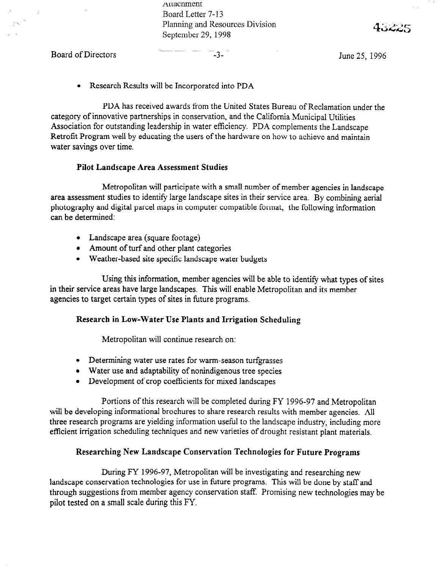Auacnment Board Letter 7-13 Planning and Resources Division September 29, 1998

Board of Directors **CONFIDENTIAL CONSUMING A SET A** Summer 1996

 $\mathbb{R}^2$ 

• Research Results will be Incorporated into PDA

PDA has received awards from the United States Bureau of Reclamation under the category of innovative partnerships in conservation, and the California Municipal Utilities Association for outstanding leadership in water efficiency. PDA complements the Landscape Retrofit Program well by educating the users of the hardware on how to achieve and maintain water savings over time.

#### Pilot Landscape Area Assessment Studies

Metropolitan will participate with a small number of member agencies in landscape area assessment studies to identify large landscape sites in their service area. By combining aerial photography and digital parcel maps in computer compatible format, the following information can be determined:

- Landscape area (square footage)
- Amount of turf and other plant categories
- Weather-based site specific landscape water budgets

Using this information, member agencies will be able to identify what types of sites in their service areas have large landscapes. This will enable Metropolitan and its member agencies to target certain types of sites in future programs.

#### Research in Low-Water Use Plants and Irrigation Scheduling

Metropolitan will continue research on:

- Determining water use rates for warm-season turfgrasses
- Water use and adaptability of nonindigenous tree species
- Development of crop coefficients for mixed landscapes

Portions of this research will be completed during FY 1996-97 and Metropolitan will be developing informational brochures to share research results with member agencies. All three research programs are yielding information useful to the landscape industry, including more efficient irrigation scheduling techniques and new varieties of drought resistant plant materials.

#### Researching New Landscape Conservation Technologies for Future Programs

During FY 1996-97, Metropolitan will be investigating and researching new landscape conservation technologies for use in future programs. This will be done by staff and through suggestions from member agency conservation staff. Promising new technologies may be pilot tested on a small scale during this FY.

48225